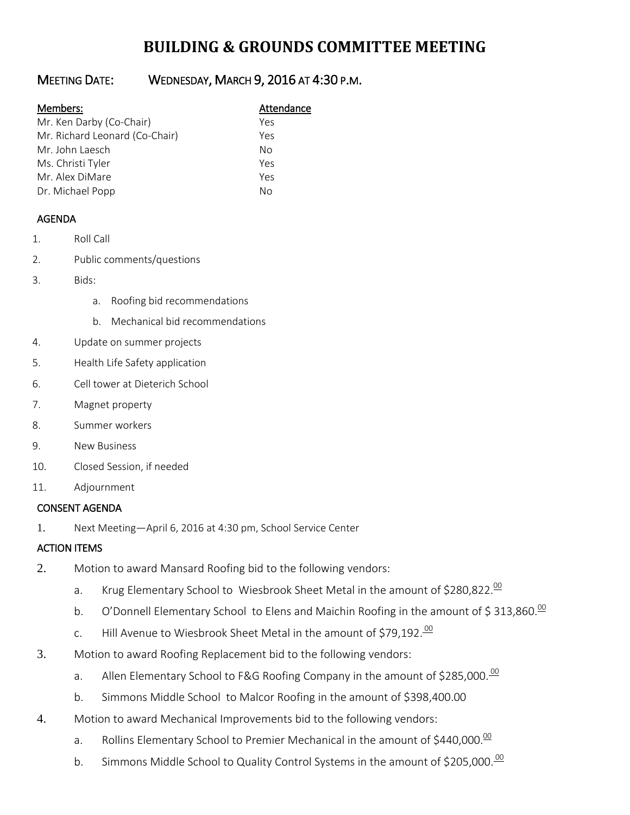# **BUILDING & GROUNDS COMMITTEE MEETING**

## MEETING DATE: WEDNESDAY, MARCH 9, 2016 AT 4:30 P.M.

#### Members: Attendance

| Mr. Ken Darby (Co-Chair)       | Yes |
|--------------------------------|-----|
| Mr. Richard Leonard (Co-Chair) | Yes |
| Mr. John Laesch                | Nο  |
| Ms. Christi Tyler              | Yρς |
| Mr. Alex DiMare                | Yes |
| Dr. Michael Popp               | Nο  |

### AGENDA

- 1. Roll Call
- 2. Public comments/questions
- 3. Bids:
	- a. Roofing bid recommendations
	- b. Mechanical bid recommendations
- 4. Update on summer projects
- 5. Health Life Safety application
- 6. Cell tower at Dieterich School
- 7. Magnet property
- 8. Summer workers
- 9. New Business
- 10. Closed Session, if needed
- 11. Adjournment

#### CONSENT AGENDA

1. Next Meeting—April 6, 2016 at 4:30 pm, School Service Center

#### ACTION ITEMS

- 2. Motion to award Mansard Roofing bid to the following vendors:
	- a. Krug Elementary School to Wiesbrook Sheet Metal in the amount of  $$280,822$ .<sup>00</sup>
	- b. O'Donnell Elementary School to Elens and Maichin Roofing in the amount of \$313,860.<sup>00</sup>
	- c. Hill Avenue to Wiesbrook Sheet Metal in the amount of \$79,192.<sup>00</sup>
- 3. Motion to award Roofing Replacement bid to the following vendors:
	- a. Allen Elementary School to F&G Roofing Company in the amount of \$285,000. $\frac{00}{2}$
	- b. Simmons Middle School to Malcor Roofing in the amount of \$398,400.00
- 4. Motion to award Mechanical Improvements bid to the following vendors:
	- a. Rollins Elementary School to Premier Mechanical in the amount of \$440,000. $\frac{00}{2}$
	- b. Simmons Middle School to Quality Control Systems in the amount of \$205,000.<sup>00</sup>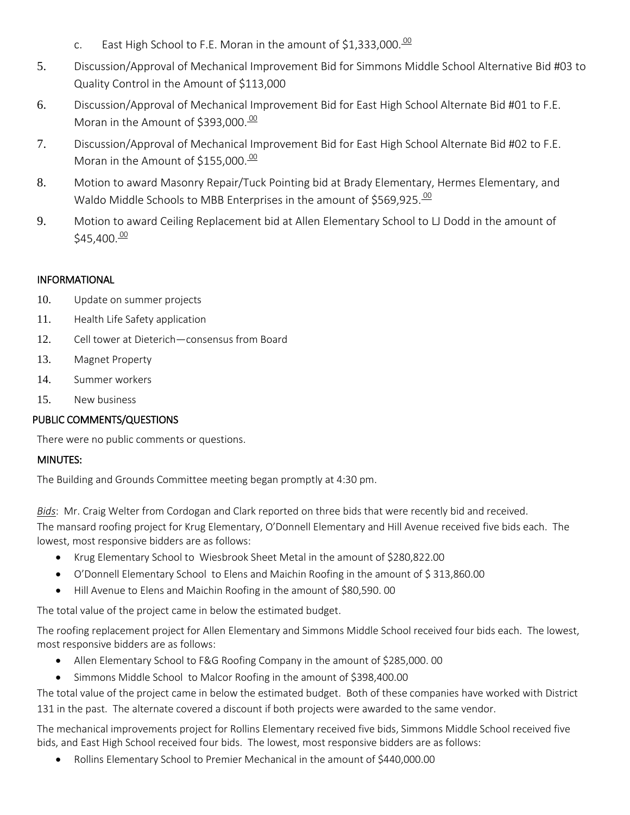- c. East High School to F.E. Moran in the amount of \$1,333,000. $\frac{00}{2}$
- 5. Discussion/Approval of Mechanical Improvement Bid for Simmons Middle School Alternative Bid #03 to Quality Control in the Amount of \$113,000
- 6. Discussion/Approval of Mechanical Improvement Bid for East High School Alternate Bid #01 to F.E. Moran in the Amount of \$393,000.<sup>00</sup>
- 7. Discussion/Approval of Mechanical Improvement Bid for East High School Alternate Bid #02 to F.E. Moran in the Amount of \$155,000.<sup>00</sup>
- 8. Motion to award Masonry Repair/Tuck Pointing bid at Brady Elementary, Hermes Elementary, and Waldo Middle Schools to MBB Enterprises in the amount of \$569,925.<sup>00</sup>
- 9. Motion to award Ceiling Replacement bid at Allen Elementary School to LJ Dodd in the amount of  $$45.400. $\frac{00}{20}$$

#### INFORMATIONAL

- 10. Update on summer projects
- 11. Health Life Safety application
- 12. Cell tower at Dieterich—consensus from Board
- 13. Magnet Property
- 14. Summer workers
- 15. New business

#### PUBLIC COMMENTS/QUESTIONS

There were no public comments or questions.

#### MINUTES:

The Building and Grounds Committee meeting began promptly at 4:30 pm.

*Bids*: Mr. Craig Welter from Cordogan and Clark reported on three bids that were recently bid and received. The mansard roofing project for Krug Elementary, O'Donnell Elementary and Hill Avenue received five bids each. The lowest, most responsive bidders are as follows:

- Krug Elementary School to Wiesbrook Sheet Metal in the amount of \$280,822.00
- O'Donnell Elementary School to Elens and Maichin Roofing in the amount of \$ 313,860.00
- Hill Avenue to Elens and Maichin Roofing in the amount of \$80,590. 00

The total value of the project came in below the estimated budget.

The roofing replacement project for Allen Elementary and Simmons Middle School received four bids each. The lowest, most responsive bidders are as follows:

- Allen Elementary School to F&G Roofing Company in the amount of \$285,000. 00
- Simmons Middle School to Malcor Roofing in the amount of \$398,400.00

The total value of the project came in below the estimated budget. Both of these companies have worked with District 131 in the past. The alternate covered a discount if both projects were awarded to the same vendor.

The mechanical improvements project for Rollins Elementary received five bids, Simmons Middle School received five bids, and East High School received four bids. The lowest, most responsive bidders are as follows:

Rollins Elementary School to Premier Mechanical in the amount of \$440,000.00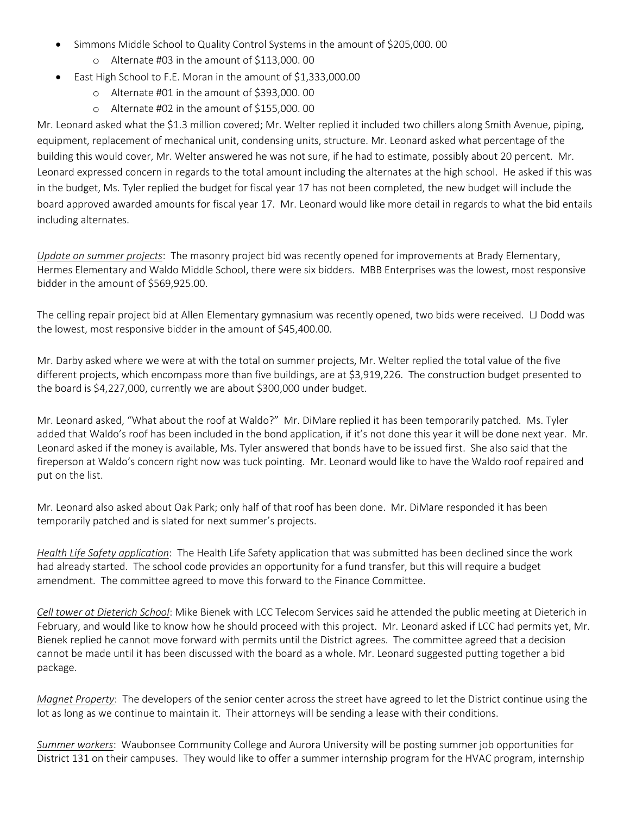- Simmons Middle School to Quality Control Systems in the amount of \$205,000. 00
	- o Alternate #03 in the amount of \$113,000. 00
- East High School to F.E. Moran in the amount of \$1,333,000.00
	- o Alternate #01 in the amount of \$393,000. 00
	- o Alternate #02 in the amount of \$155,000. 00

Mr. Leonard asked what the \$1.3 million covered; Mr. Welter replied it included two chillers along Smith Avenue, piping, equipment, replacement of mechanical unit, condensing units, structure. Mr. Leonard asked what percentage of the building this would cover, Mr. Welter answered he was not sure, if he had to estimate, possibly about 20 percent. Mr. Leonard expressed concern in regards to the total amount including the alternates at the high school. He asked if this was in the budget, Ms. Tyler replied the budget for fiscal year 17 has not been completed, the new budget will include the board approved awarded amounts for fiscal year 17. Mr. Leonard would like more detail in regards to what the bid entails including alternates.

*Update on summer projects*: The masonry project bid was recently opened for improvements at Brady Elementary, Hermes Elementary and Waldo Middle School, there were six bidders. MBB Enterprises was the lowest, most responsive bidder in the amount of \$569,925.00.

The celling repair project bid at Allen Elementary gymnasium was recently opened, two bids were received. LJ Dodd was the lowest, most responsive bidder in the amount of \$45,400.00.

Mr. Darby asked where we were at with the total on summer projects, Mr. Welter replied the total value of the five different projects, which encompass more than five buildings, are at \$3,919,226. The construction budget presented to the board is \$4,227,000, currently we are about \$300,000 under budget.

Mr. Leonard asked, "What about the roof at Waldo?" Mr. DiMare replied it has been temporarily patched. Ms. Tyler added that Waldo's roof has been included in the bond application, if it's not done this year it will be done next year. Mr. Leonard asked if the money is available, Ms. Tyler answered that bonds have to be issued first. She also said that the fireperson at Waldo's concern right now was tuck pointing. Mr. Leonard would like to have the Waldo roof repaired and put on the list.

Mr. Leonard also asked about Oak Park; only half of that roof has been done. Mr. DiMare responded it has been temporarily patched and is slated for next summer's projects.

*Health Life Safety application*: The Health Life Safety application that was submitted has been declined since the work had already started. The school code provides an opportunity for a fund transfer, but this will require a budget amendment. The committee agreed to move this forward to the Finance Committee.

*Cell tower at Dieterich School*: Mike Bienek with LCC Telecom Services said he attended the public meeting at Dieterich in February, and would like to know how he should proceed with this project. Mr. Leonard asked if LCC had permits yet, Mr. Bienek replied he cannot move forward with permits until the District agrees. The committee agreed that a decision cannot be made until it has been discussed with the board as a whole. Mr. Leonard suggested putting together a bid package.

*Magnet Property*: The developers of the senior center across the street have agreed to let the District continue using the lot as long as we continue to maintain it. Their attorneys will be sending a lease with their conditions.

*Summer workers*: Waubonsee Community College and Aurora University will be posting summer job opportunities for District 131 on their campuses. They would like to offer a summer internship program for the HVAC program, internship